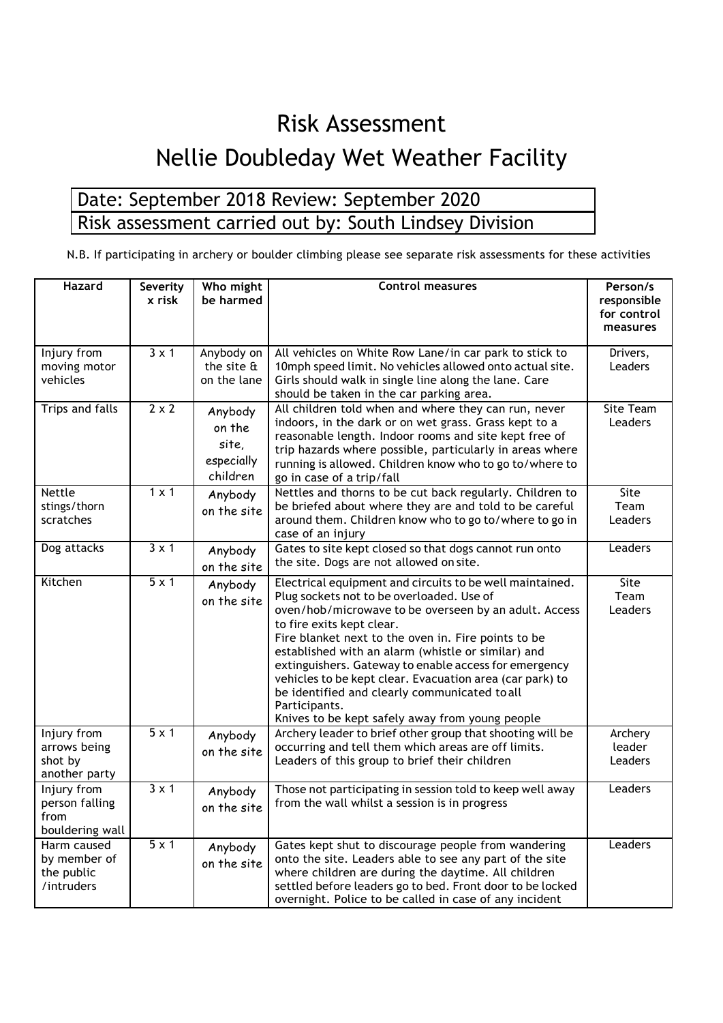## Risk Assessment

## Nellie Doubleday Wet Weather Facility

## Date: September 2018 Review: September 2020 Risk assessment carried out by: South Lindsey Division

N.B. If participating in archery or boulder climbing please see separate risk assessments for these activities

| <b>Hazard</b>                                            | Severity<br>x risk | Who might<br>be harmed                                   | <b>Control measures</b>                                                                                                                                                                                                                                                                                                                                                                                                                                                                                                                            | Person/s<br>responsible<br>for control<br>measures |
|----------------------------------------------------------|--------------------|----------------------------------------------------------|----------------------------------------------------------------------------------------------------------------------------------------------------------------------------------------------------------------------------------------------------------------------------------------------------------------------------------------------------------------------------------------------------------------------------------------------------------------------------------------------------------------------------------------------------|----------------------------------------------------|
| Injury from<br>moving motor<br>vehicles                  | $3 \times 1$       | Anybody on<br>the site $\mathbf{\hat{a}}$<br>on the lane | All vehicles on White Row Lane/in car park to stick to<br>10mph speed limit. No vehicles allowed onto actual site.<br>Girls should walk in single line along the lane. Care<br>should be taken in the car parking area.                                                                                                                                                                                                                                                                                                                            | Drivers,<br>Leaders                                |
| <b>Trips and falls</b>                                   | $2 \times 2$       | Anybody<br>on the<br>site,<br>especially<br>children     | All children told when and where they can run, never<br>indoors, in the dark or on wet grass. Grass kept to a<br>reasonable length. Indoor rooms and site kept free of<br>trip hazards where possible, particularly in areas where<br>running is allowed. Children know who to go to/where to<br>go in case of a trip/fall                                                                                                                                                                                                                         | <b>Site Team</b><br>Leaders                        |
| <b>Nettle</b><br>stings/thorn<br>scratches               | $1 \times 1$       | Anybody<br>on the site                                   | Nettles and thorns to be cut back regularly. Children to<br>be briefed about where they are and told to be careful<br>around them. Children know who to go to/where to go in<br>case of an injury                                                                                                                                                                                                                                                                                                                                                  | Site<br>Team<br>Leaders                            |
| Dog attacks                                              | $3 \times 1$       | Anybody<br>on the site                                   | Gates to site kept closed so that dogs cannot run onto<br>the site. Dogs are not allowed on site.                                                                                                                                                                                                                                                                                                                                                                                                                                                  | Leaders                                            |
| Kitchen                                                  | $5 \times 1$       | Anybody<br>on the site                                   | Electrical equipment and circuits to be well maintained.<br>Plug sockets not to be overloaded. Use of<br>oven/hob/microwave to be overseen by an adult. Access<br>to fire exits kept clear.<br>Fire blanket next to the oven in. Fire points to be<br>established with an alarm (whistle or similar) and<br>extinguishers. Gateway to enable access for emergency<br>vehicles to be kept clear. Evacuation area (car park) to<br>be identified and clearly communicated to all<br>Participants.<br>Knives to be kept safely away from young people | Site<br>Team<br>Leaders                            |
| Injury from<br>arrows being<br>shot by<br>another party  | $5 \times 1$       | Anybody<br>on the site                                   | Archery leader to brief other group that shooting will be<br>occurring and tell them which areas are off limits.<br>Leaders of this group to brief their children                                                                                                                                                                                                                                                                                                                                                                                  | Archery<br>leader<br>Leaders                       |
| Injury from<br>person falling<br>from<br>bouldering wall | $3 \times 1$       | Anybody<br>on the site                                   | Those not participating in session told to keep well away<br>from the wall whilst a session is in progress                                                                                                                                                                                                                                                                                                                                                                                                                                         | Leaders                                            |
| Harm caused<br>by member of<br>the public<br>/intruders  | $5 \times 1$       | Anybody<br>on the site                                   | Gates kept shut to discourage people from wandering<br>onto the site. Leaders able to see any part of the site<br>where children are during the daytime. All children<br>settled before leaders go to bed. Front door to be locked<br>overnight. Police to be called in case of any incident                                                                                                                                                                                                                                                       | Leaders                                            |